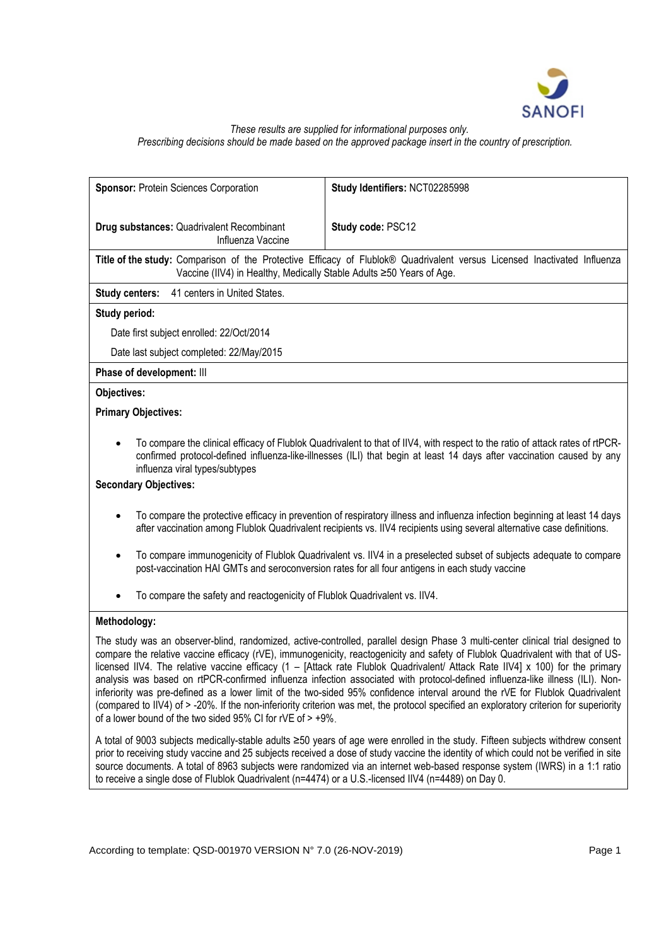

#### *These results are supplied for informational purposes only. Prescribing decisions should be made based on the approved package insert in the country of prescription.*

| Sponsor: Protein Sciences Corporation                                      | Study Identifiers: NCT02285998                                                                                                                                                                                                                                                                                                                                                                                                                                                                                                                                                                                                                                                                                                                                                                                   |
|----------------------------------------------------------------------------|------------------------------------------------------------------------------------------------------------------------------------------------------------------------------------------------------------------------------------------------------------------------------------------------------------------------------------------------------------------------------------------------------------------------------------------------------------------------------------------------------------------------------------------------------------------------------------------------------------------------------------------------------------------------------------------------------------------------------------------------------------------------------------------------------------------|
| Drug substances: Quadrivalent Recombinant<br>Influenza Vaccine             | Study code: PSC12                                                                                                                                                                                                                                                                                                                                                                                                                                                                                                                                                                                                                                                                                                                                                                                                |
| Vaccine (IIV4) in Healthy, Medically Stable Adults ≥50 Years of Age.       | Title of the study: Comparison of the Protective Efficacy of Flublok® Quadrivalent versus Licensed Inactivated Influenza                                                                                                                                                                                                                                                                                                                                                                                                                                                                                                                                                                                                                                                                                         |
| 41 centers in United States.<br><b>Study centers:</b>                      |                                                                                                                                                                                                                                                                                                                                                                                                                                                                                                                                                                                                                                                                                                                                                                                                                  |
| Study period:                                                              |                                                                                                                                                                                                                                                                                                                                                                                                                                                                                                                                                                                                                                                                                                                                                                                                                  |
| Date first subject enrolled: 22/Oct/2014                                   |                                                                                                                                                                                                                                                                                                                                                                                                                                                                                                                                                                                                                                                                                                                                                                                                                  |
| Date last subject completed: 22/May/2015                                   |                                                                                                                                                                                                                                                                                                                                                                                                                                                                                                                                                                                                                                                                                                                                                                                                                  |
| Phase of development: III                                                  |                                                                                                                                                                                                                                                                                                                                                                                                                                                                                                                                                                                                                                                                                                                                                                                                                  |
| Objectives:                                                                |                                                                                                                                                                                                                                                                                                                                                                                                                                                                                                                                                                                                                                                                                                                                                                                                                  |
| <b>Primary Objectives:</b>                                                 |                                                                                                                                                                                                                                                                                                                                                                                                                                                                                                                                                                                                                                                                                                                                                                                                                  |
| influenza viral types/subtypes                                             | To compare the clinical efficacy of Flublok Quadrivalent to that of IIV4, with respect to the ratio of attack rates of rtPCR-<br>confirmed protocol-defined influenza-like-illnesses (ILI) that begin at least 14 days after vaccination caused by any                                                                                                                                                                                                                                                                                                                                                                                                                                                                                                                                                           |
| <b>Secondary Objectives:</b>                                               |                                                                                                                                                                                                                                                                                                                                                                                                                                                                                                                                                                                                                                                                                                                                                                                                                  |
|                                                                            | To compare the protective efficacy in prevention of respiratory illness and influenza infection beginning at least 14 days<br>after vaccination among Flublok Quadrivalent recipients vs. IIV4 recipients using several alternative case definitions.                                                                                                                                                                                                                                                                                                                                                                                                                                                                                                                                                            |
| $\bullet$                                                                  | To compare immunogenicity of Flublok Quadrivalent vs. IIV4 in a preselected subset of subjects adequate to compare<br>post-vaccination HAI GMTs and seroconversion rates for all four antigens in each study vaccine                                                                                                                                                                                                                                                                                                                                                                                                                                                                                                                                                                                             |
| To compare the safety and reactogenicity of Flublok Quadrivalent vs. IIV4. |                                                                                                                                                                                                                                                                                                                                                                                                                                                                                                                                                                                                                                                                                                                                                                                                                  |
| Methodology:                                                               |                                                                                                                                                                                                                                                                                                                                                                                                                                                                                                                                                                                                                                                                                                                                                                                                                  |
| of a lower bound of the two sided $95\%$ CI for rVE of $> +9\%$ .          | The study was an observer-blind, randomized, active-controlled, parallel design Phase 3 multi-center clinical trial designed to<br>compare the relative vaccine efficacy (rVE), immunogenicity, reactogenicity and safety of Flublok Quadrivalent with that of US-<br>licensed IIV4. The relative vaccine efficacy (1 - [Attack rate Flublok Quadrivalent/ Attack Rate IIV4] x 100) for the primary<br>analysis was based on rtPCR-confirmed influenza infection associated with protocol-defined influenza-like illness (ILI). Non-<br>inferiority was pre-defined as a lower limit of the two-sided 95% confidence interval around the rVE for Flublok Quadrivalent<br>(compared to IIV4) of > -20%. If the non-inferiority criterion was met, the protocol specified an exploratory criterion for superiority |
|                                                                            | A total of 9003 subjects medically-stable adults ≥50 years of age were enrolled in the study. Fifteen subjects withdrew consent<br>prior to receiving study vaccine and 25 subjects received a dose of study vaccine the identity of which could not be verified in site                                                                                                                                                                                                                                                                                                                                                                                                                                                                                                                                         |

source documents. A total of 8963 subjects were randomized via an internet web-based response system (IWRS) in a 1:1 ratio

to receive a single dose of Flublok Quadrivalent (n=4474) or a U.S.-licensed IIV4 (n=4489) on Day 0.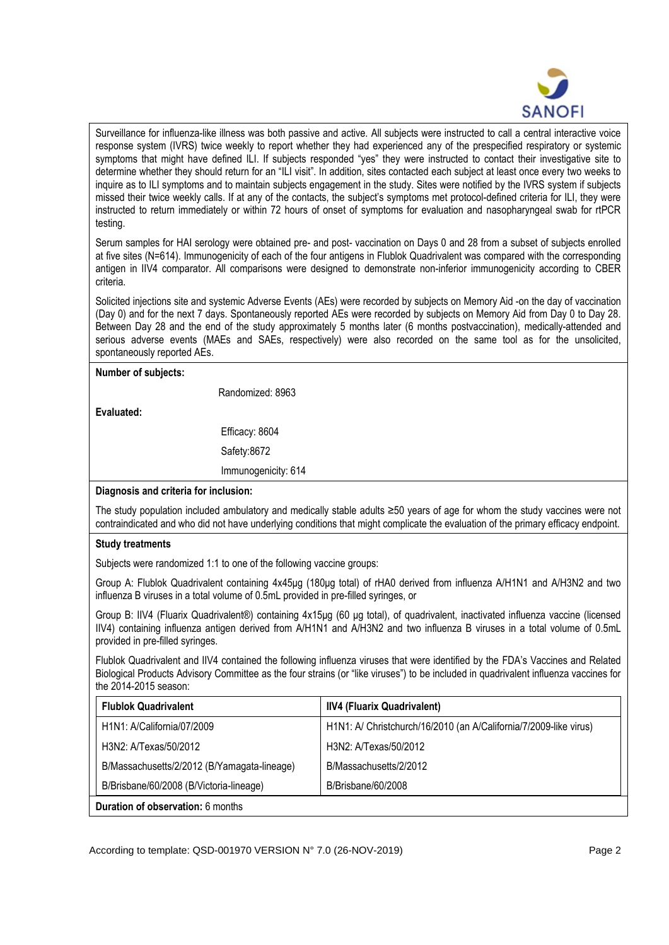

Surveillance for influenza-like illness was both passive and active. All subjects were instructed to call a central interactive voice response system (IVRS) twice weekly to report whether they had experienced any of the prespecified respiratory or systemic symptoms that might have defined ILI. If subjects responded "yes" they were instructed to contact their investigative site to determine whether they should return for an "ILI visit". In addition, sites contacted each subject at least once every two weeks to inquire as to ILI symptoms and to maintain subjects engagement in the study. Sites were notified by the IVRS system if subjects missed their twice weekly calls. If at any of the contacts, the subject's symptoms met protocol-defined criteria for ILI, they were instructed to return immediately or within 72 hours of onset of symptoms for evaluation and nasopharyngeal swab for rtPCR testing.

Serum samples for HAI serology were obtained pre- and post- vaccination on Days 0 and 28 from a subset of subjects enrolled at five sites (N=614). Immunogenicity of each of the four antigens in Flublok Quadrivalent was compared with the corresponding antigen in IIV4 comparator. All comparisons were designed to demonstrate non-inferior immunogenicity according to CBER criteria.

Solicited injections site and systemic Adverse Events (AEs) were recorded by subjects on Memory Aid -on the day of vaccination (Day 0) and for the next 7 days. Spontaneously reported AEs were recorded by subjects on Memory Aid from Day 0 to Day 28. Between Day 28 and the end of the study approximately 5 months later (6 months postvaccination), medically-attended and serious adverse events (MAEs and SAEs, respectively) were also recorded on the same tool as for the unsolicited, spontaneously reported AEs.

**Number of subjects:**

Randomized: 8963

**Evaluated:**

Efficacy: 8604

Safety:8672

Immunogenicity: 614

# **Diagnosis and criteria for inclusion:**

The study population included ambulatory and medically stable adults ≥50 years of age for whom the study vaccines were not contraindicated and who did not have underlying conditions that might complicate the evaluation of the primary efficacy endpoint.

# **Study treatments**

Subjects were randomized 1:1 to one of the following vaccine groups:

Group A: Flublok Quadrivalent containing 4x45μg (180μg total) of rHA0 derived from influenza A/H1N1 and A/H3N2 and two influenza B viruses in a total volume of 0.5mL provided in pre-filled syringes, or

Group B: IIV4 (Fluarix Quadrivalent®) containing 4x15μg (60 μg total), of quadrivalent, inactivated influenza vaccine (licensed IIV4) containing influenza antigen derived from A/H1N1 and A/H3N2 and two influenza B viruses in a total volume of 0.5mL provided in pre-filled syringes.

Flublok Quadrivalent and IIV4 contained the following influenza viruses that were identified by the FDA's Vaccines and Related Biological Products Advisory Committee as the four strains (or "like viruses") to be included in quadrivalent influenza vaccines for the 2014-2015 season:

| <b>Flublok Quadrivalent</b>                 | <b>IIV4 (Fluarix Quadrivalent)</b>                                |
|---------------------------------------------|-------------------------------------------------------------------|
| H1N1: A/California/07/2009                  | H1N1: A/ Christchurch/16/2010 (an A/California/7/2009-like virus) |
| H3N2: A/Texas/50/2012                       | H3N2: A/Texas/50/2012                                             |
| B/Massachusetts/2/2012 (B/Yamagata-lineage) | B/Massachusetts/2/2012                                            |
| B/Brisbane/60/2008 (B/Victoria-lineage)     | B/Brisbane/60/2008                                                |
| Duration of observation: 6 months           |                                                                   |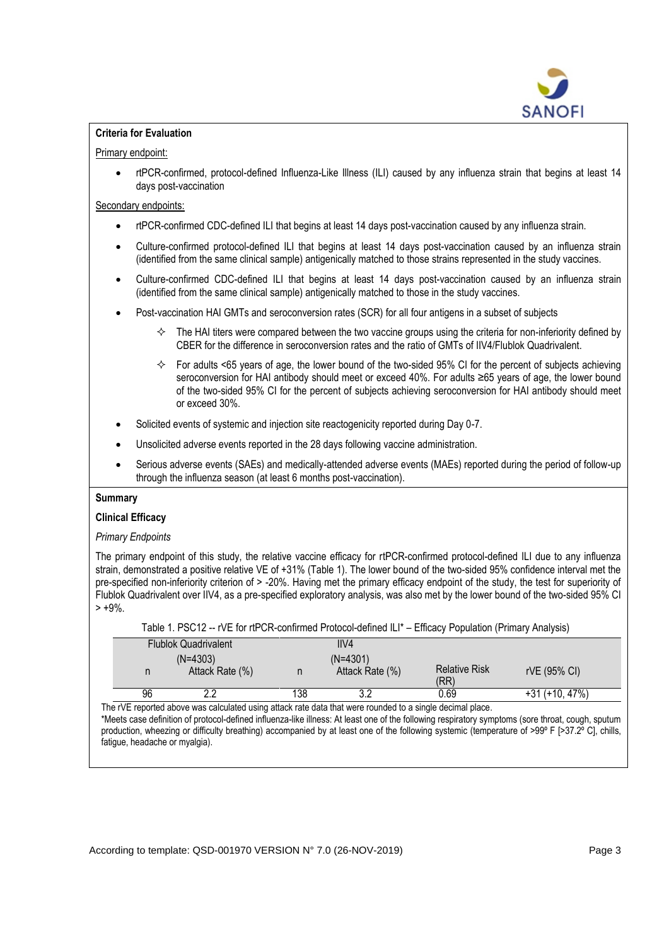

# **Criteria for Evaluation**

# Primary endpoint:

• rtPCR-confirmed, protocol-defined Influenza-Like Illness (ILI) caused by any influenza strain that begins at least 14 days post-vaccination

### Secondary endpoints:

- rtPCR-confirmed CDC-defined ILI that begins at least 14 days post-vaccination caused by any influenza strain.
- Culture-confirmed protocol-defined ILI that begins at least 14 days post-vaccination caused by an influenza strain (identified from the same clinical sample) antigenically matched to those strains represented in the study vaccines.
- Culture-confirmed CDC-defined ILI that begins at least 14 days post-vaccination caused by an influenza strain (identified from the same clinical sample) antigenically matched to those in the study vaccines.
- Post-vaccination HAI GMTs and seroconversion rates (SCR) for all four antigens in a subset of subjects
	- $\Diamond$  The HAI titers were compared between the two vaccine groups using the criteria for non-inferiority defined by CBER for the difference in seroconversion rates and the ratio of GMTs of IIV4/Flublok Quadrivalent.
	- $\div$  For adults <65 years of age, the lower bound of the two-sided 95% CI for the percent of subjects achieving seroconversion for HAI antibody should meet or exceed 40%. For adults ≥65 years of age, the lower bound of the two-sided 95% CI for the percent of subjects achieving seroconversion for HAI antibody should meet or exceed 30%.
- Solicited events of systemic and injection site reactogenicity reported during Day 0-7.
- Unsolicited adverse events reported in the 28 days following vaccine administration.
- Serious adverse events (SAEs) and medically-attended adverse events (MAEs) reported during the period of follow-up through the influenza season (at least 6 months post-vaccination).

### **Summary**

### **Clinical Efficacy**

### *Primary Endpoints*

The primary endpoint of this study, the relative vaccine efficacy for rtPCR-confirmed protocol-defined ILI due to any influenza strain, demonstrated a positive relative VE of +31% (Table 1). The lower bound of the two-sided 95% confidence interval met the pre-specified non-inferiority criterion of > -20%. Having met the primary efficacy endpoint of the study, the test for superiority of Flublok Quadrivalent over IIV4, as a pre-specified exploratory analysis, was also met by the lower bound of the two-sided 95% CI  $> +9\%$ .

| Table 1. PSC12 -- rVE for rtPCR-confirmed Protocol-defined ILI* – Efficacy Population (Primary Analysis) |                 |                      |              |  |
|----------------------------------------------------------------------------------------------------------|-----------------|----------------------|--------------|--|
| <b>Flublok Quadrivalent</b>                                                                              | IIV4            |                      |              |  |
| $(N=4303)$                                                                                               | $(N=4301)$      |                      |              |  |
| Attack Rate (%)                                                                                          | Attack Rate (%) | <b>Relative Risk</b> | rVE (95% CI) |  |

The rVE reported above was calculated using attack rate data that were rounded to a single decimal place.

\*Meets case definition of protocol-defined influenza-like illness: At least one of the following respiratory symptoms (sore throat, cough, sputum production, wheezing or difficulty breathing) accompanied by at least one of the following systemic (temperature of >99° F [>37.2° C], chills, fatigue, headache or myalgia).

96 2.2 138 3.2 0.69 +31 (+10, 47%)

(RR)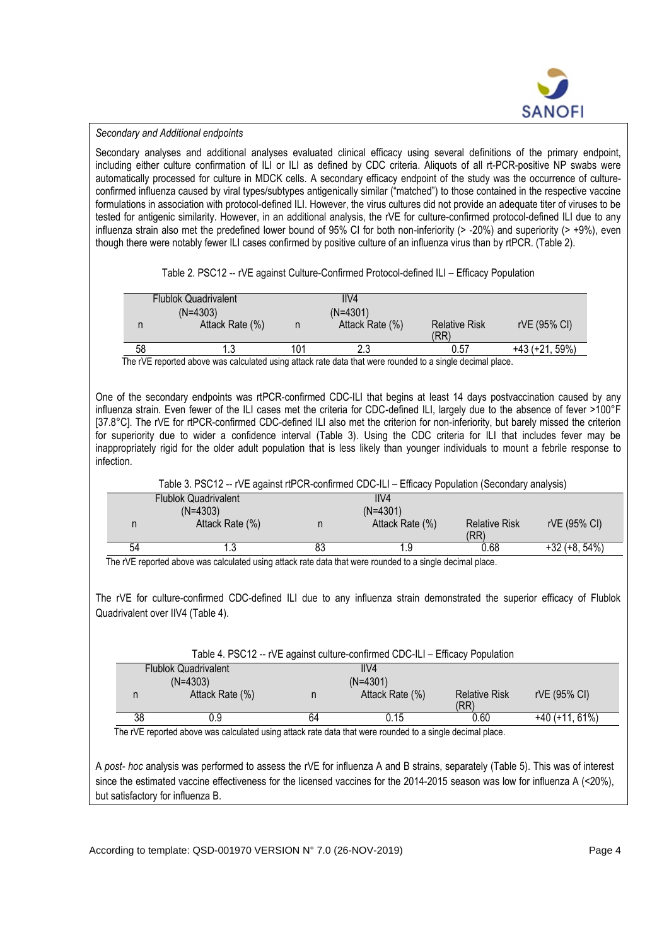

#### *Secondary and Additional endpoints*

Secondary analyses and additional analyses evaluated clinical efficacy using several definitions of the primary endpoint, including either culture confirmation of ILI or ILI as defined by CDC criteria. Aliquots of all rt-PCR-positive NP swabs were automatically processed for culture in MDCK cells. A secondary efficacy endpoint of the study was the occurrence of cultureconfirmed influenza caused by viral types/subtypes antigenically similar ("matched") to those contained in the respective vaccine formulations in association with protocol-defined ILI. However, the virus cultures did not provide an adequate titer of viruses to be tested for antigenic similarity. However, in an additional analysis, the rVE for culture-confirmed protocol-defined ILI due to any influenza strain also met the predefined lower bound of 95% CI for both non-inferiority (> -20%) and superiority (> +9%), even though there were notably fewer ILI cases confirmed by positive culture of an influenza virus than by rtPCR. (Table 2).

Table 2. PSC12 -- rVE against Culture-Confirmed Protocol-defined ILI – Efficacy Population

|    | <b>Flublok Quadrivalent</b>                                                                                  |     | IIV4            |                      |                |
|----|--------------------------------------------------------------------------------------------------------------|-----|-----------------|----------------------|----------------|
|    | $(N=4303)$                                                                                                   |     | $(N=4301)$      |                      |                |
| n  | Attack Rate (%)                                                                                              | n   | Attack Rate (%) | <b>Relative Risk</b> | rVE (95% CI)   |
|    |                                                                                                              |     |                 | (RR)                 |                |
| 58 |                                                                                                              | 101 |                 | 0.57                 | +43 (+21, 59%) |
|    | The st IT separted above was coloulated voice attack sets date that wese severaled to a single decimal place |     |                 |                      |                |

The rVE reported above was calculated using attack rate data that were rounded to a single decimal place.

One of the secondary endpoints was rtPCR-confirmed CDC-ILI that begins at least 14 days postvaccination caused by any influenza strain. Even fewer of the ILI cases met the criteria for CDC-defined ILI, largely due to the absence of fever >100°F [37.8°C]. The rVE for rtPCR-confirmed CDC-defined ILI also met the criterion for non-inferiority, but barely missed the criterion for superiority due to wider a confidence interval (Table 3). Using the CDC criteria for ILI that includes fever may be inappropriately rigid for the older adult population that is less likely than younger individuals to mount a febrile response to infection.

Table 3. PSC12 -- rVE against rtPCR-confirmed CDC-ILI – Efficacy Population (Secondary analysis)

|    | <b>Flublok Quadrivalent</b> |    | IIVA            |                              |                 |
|----|-----------------------------|----|-----------------|------------------------------|-----------------|
|    | $(N=4303)$                  |    | $(N=4301)$      |                              |                 |
|    | Attack Rate (%)             |    | Attack Rate (%) | <b>Relative Risk</b><br>(RR) | rVE (95% CI)    |
| 54 |                             | 83 |                 | 0.68                         | $+32 (+8, 54%)$ |
|    |                             |    |                 |                              |                 |

The rVE reported above was calculated using attack rate data that were rounded to a single decimal place.

The rVE for culture-confirmed CDC-defined ILI due to any influenza strain demonstrated the superior efficacy of Flublok Quadrivalent over IIV4 (Table 4).

| Table 4. PSC12 -- rVE against culture-confirmed CDC-ILI – Efficacy Population |                             |    |                 |                              |                  |
|-------------------------------------------------------------------------------|-----------------------------|----|-----------------|------------------------------|------------------|
|                                                                               | <b>Flublok Quadrivalent</b> |    | IIV4            |                              |                  |
|                                                                               | $(N=4303)$                  |    | $(N=4301)$      |                              |                  |
|                                                                               | Attack Rate (%)             | n  | Attack Rate (%) | <b>Relative Risk</b><br>(RR) | rVE (95% CI)     |
| 38                                                                            | 0.9                         | 64 | 0.15            | 0.60                         | $+40$ (+11, 61%) |

The rVE reported above was calculated using attack rate data that were rounded to a single decimal place.

A *post- hoc* analysis was performed to assess the rVE for influenza A and B strains, separately (Table 5). This was of interest since the estimated vaccine effectiveness for the licensed vaccines for the 2014-2015 season was low for influenza A (<20%). but satisfactory for influenza B.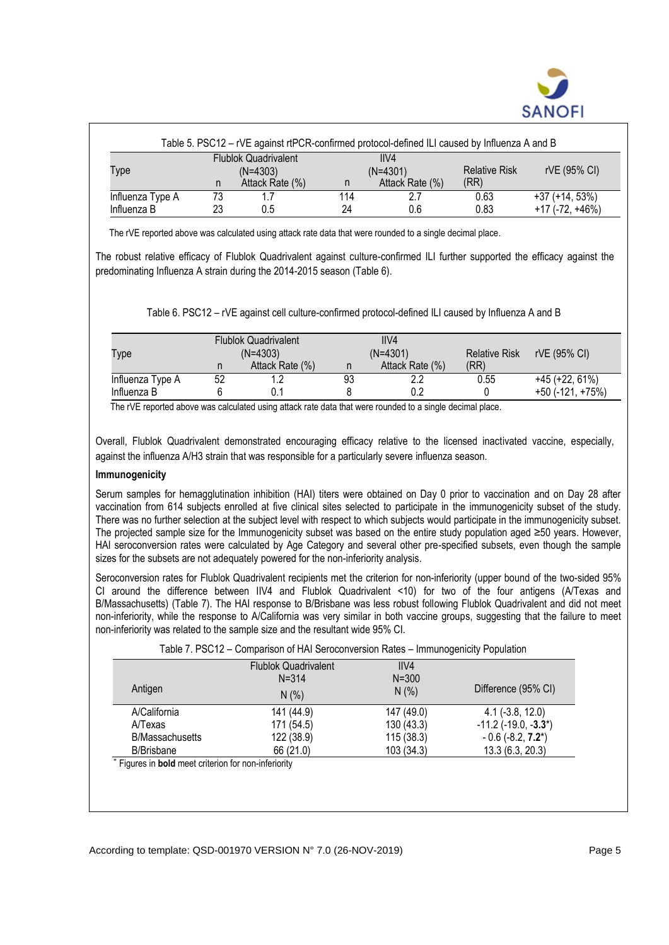

|                  | Table 5. PSC12 - rVE against rtPCR-confirmed protocol-defined ILI caused by Influenza A and B |                                           |     |                    |                      |                       |
|------------------|-----------------------------------------------------------------------------------------------|-------------------------------------------|-----|--------------------|----------------------|-----------------------|
| Type             |                                                                                               | <b>Flublok Quadrivalent</b><br>$(N=4303)$ |     | IIVA<br>$(N=4301)$ | <b>Relative Risk</b> | rVE (95% CI)          |
| Influenza Type A | n<br>73                                                                                       | Attack Rate (%)                           | 114 | Attack Rate (%)    | (RR)<br>0.63         | $+37 (+14, 53%)$      |
| Influenza B      | 23                                                                                            | 0.5                                       | 24  | 0.6                | 0.83                 | $+17$ (-72, $+46\%$ ) |

The rVE reported above was calculated using attack rate data that were rounded to a single decimal place.

The robust relative efficacy of Flublok Quadrivalent against culture-confirmed ILI further supported the efficacy against the predominating Influenza A strain during the 2014-2015 season (Table 6).

Table 6. PSC12 – rVE against cell culture-confirmed protocol-defined ILI caused by Influenza A and B

| Type             |    | <b>Flublok Quadrivalent</b><br>$(N=4303)$ |    | IIVA<br>$(N=4301)$ | <b>Relative Risk</b> | rVE (95% CI)          |
|------------------|----|-------------------------------------------|----|--------------------|----------------------|-----------------------|
|                  | n  | Attack Rate (%)                           |    | Attack Rate (%)    | (RR)                 |                       |
| Influenza Type A | 52 |                                           | 93 | ר ר                | 0.55                 | $+45 (+22, 61%)$      |
| Influenza B      |    |                                           |    | 0.2                |                      | $+50$ (-121, $+75%$ ) |

The rVE reported above was calculated using attack rate data that were rounded to a single decimal place.

Overall, Flublok Quadrivalent demonstrated encouraging efficacy relative to the licensed inactivated vaccine, especially, against the influenza A/H3 strain that was responsible for a particularly severe influenza season.

### **Immunogenicity**

Serum samples for hemagglutination inhibition (HAI) titers were obtained on Day 0 prior to vaccination and on Day 28 after vaccination from 614 subjects enrolled at five clinical sites selected to participate in the immunogenicity subset of the study. There was no further selection at the subject level with respect to which subjects would participate in the immunogenicity subset. The projected sample size for the Immunogenicity subset was based on the entire study population aged ≥50 years. However, HAI seroconversion rates were calculated by Age Category and several other pre-specified subsets, even though the sample sizes for the subsets are not adequately powered for the non-inferiority analysis.

Seroconversion rates for Flublok Quadrivalent recipients met the criterion for non-inferiority (upper bound of the two-sided 95% CI around the difference between IIV4 and Flublok Quadrivalent <10) for two of the four antigens (A/Texas and B/Massachusetts) (Table 7). The HAI response to B/Brisbane was less robust following Flublok Quadrivalent and did not meet non-inferiority, while the response to A/California was very similar in both vaccine groups, suggesting that the failure to meet non-inferiority was related to the sample size and the resultant wide 95% CI.

|                                                             | $\frac{1}{2}$ and $\frac{1}{2}$ . The comparison of the between the sign fraces – immunogeneity Fopulation |            |                               |
|-------------------------------------------------------------|------------------------------------------------------------------------------------------------------------|------------|-------------------------------|
|                                                             | <b>Flublok Quadrivalent</b>                                                                                | IIVA       |                               |
|                                                             | $N = 314$                                                                                                  | $N = 300$  |                               |
| Antigen                                                     | N(% )                                                                                                      | N(% )      | Difference (95% CI)           |
| <b>A/California</b>                                         | 141 (44.9)                                                                                                 | 147 (49.0) | $4.1$ (-3.8, 12.0)            |
| A/Texas                                                     | 171 (54.5)                                                                                                 | 130(43.3)  | $-11.2$ ( $-19.0$ , $-3.3$ *) |
| <b>B/Massachusetts</b>                                      | 122 (38.9)                                                                                                 | 115(38.3)  | $-0.6$ (-8.2, <b>7.2</b> *)   |
| <b>B/Brisbane</b>                                           | 66 (21.0)                                                                                                  | 103 (34.3) | 13.3(6.3, 20.3)               |
| * Figures in <b>bold</b> meet criterion for non-inferiority |                                                                                                            |            |                               |

Table 7. PSC12 – Comparison of HAI Seroconversion Rates – Immunogenicity Population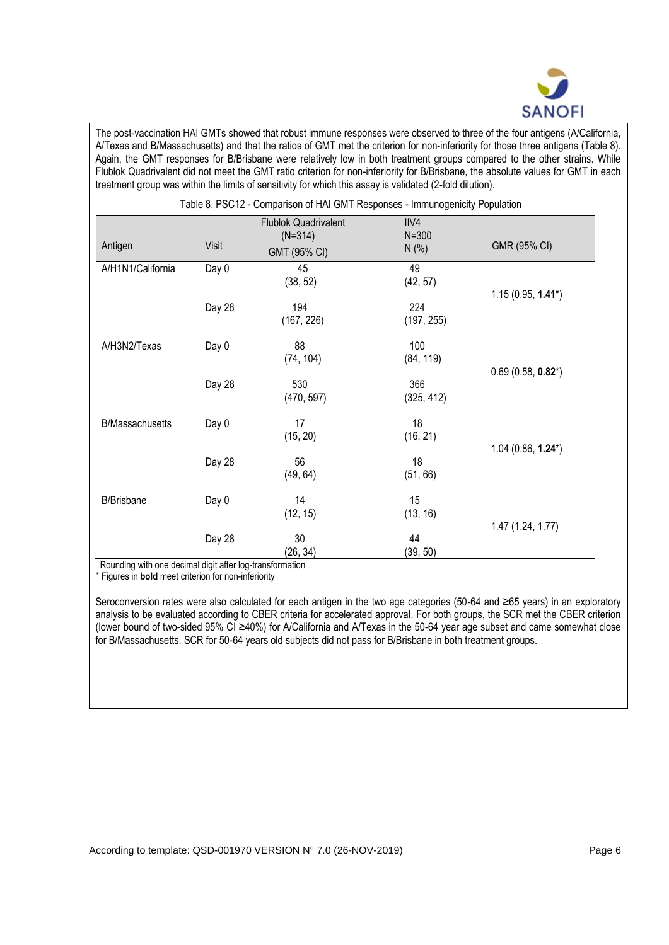

The post-vaccination HAI GMTs showed that robust immune responses were observed to three of the four antigens (A/California, A/Texas and B/Massachusetts) and that the ratios of GMT met the criterion for non-inferiority for those three antigens (Table 8). Again, the GMT responses for B/Brisbane were relatively low in both treatment groups compared to the other strains. While Flublok Quadrivalent did not meet the GMT ratio criterion for non-inferiority for B/Brisbane, the absolute values for GMT in each treatment group was within the limits of sensitivity for which this assay is validated (2-fold dilution).

|                        | Table 8. PSC12 - Comparison of HAI GMT Responses - Immunogenicity Population |                                                          |                              |                      |  |  |
|------------------------|------------------------------------------------------------------------------|----------------------------------------------------------|------------------------------|----------------------|--|--|
| Antigen                | Visit                                                                        | <b>Flublok Quadrivalent</b><br>$(N=314)$<br>GMT (95% CI) | IIV4<br>$N = 300$<br>$N$ (%) | GMR (95% CI)         |  |  |
| A/H1N1/California      | Day 0                                                                        | 45<br>(38, 52)                                           | 49<br>(42, 57)               | $1.15(0.95, 1.41^*)$ |  |  |
|                        | Day 28                                                                       | 194<br>(167, 226)                                        | 224<br>(197, 255)            |                      |  |  |
| A/H3N2/Texas           | Day 0                                                                        | 88<br>(74, 104)                                          | 100<br>(84, 119)             | $0.69(0.58, 0.82^*)$ |  |  |
|                        | Day 28                                                                       | 530<br>(470, 597)                                        | 366<br>(325, 412)            |                      |  |  |
| <b>B/Massachusetts</b> | Day 0                                                                        | 17<br>(15, 20)                                           | 18<br>(16, 21)               | $1.04(0.86, 1.24^*)$ |  |  |
|                        | Day 28                                                                       | 56<br>(49, 64)                                           | 18<br>(51, 66)               |                      |  |  |
| <b>B/Brisbane</b>      | Day 0                                                                        | 14<br>(12, 15)                                           | 15<br>(13, 16)               | 1.47 (1.24, 1.77)    |  |  |
|                        | Day 28                                                                       | 30<br>(26, 34)                                           | 44<br>(39, 50)               |                      |  |  |

Rounding with one decimal digit after log-transformation

\* Figures in **bold** meet criterion for non-inferiority

Seroconversion rates were also calculated for each antigen in the two age categories (50-64 and ≥65 years) in an exploratory analysis to be evaluated according to CBER criteria for accelerated approval. For both groups, the SCR met the CBER criterion (lower bound of two-sided 95% CI ≥40%) for A/California and A/Texas in the 50-64 year age subset and came somewhat close for B/Massachusetts. SCR for 50-64 years old subjects did not pass for B/Brisbane in both treatment groups.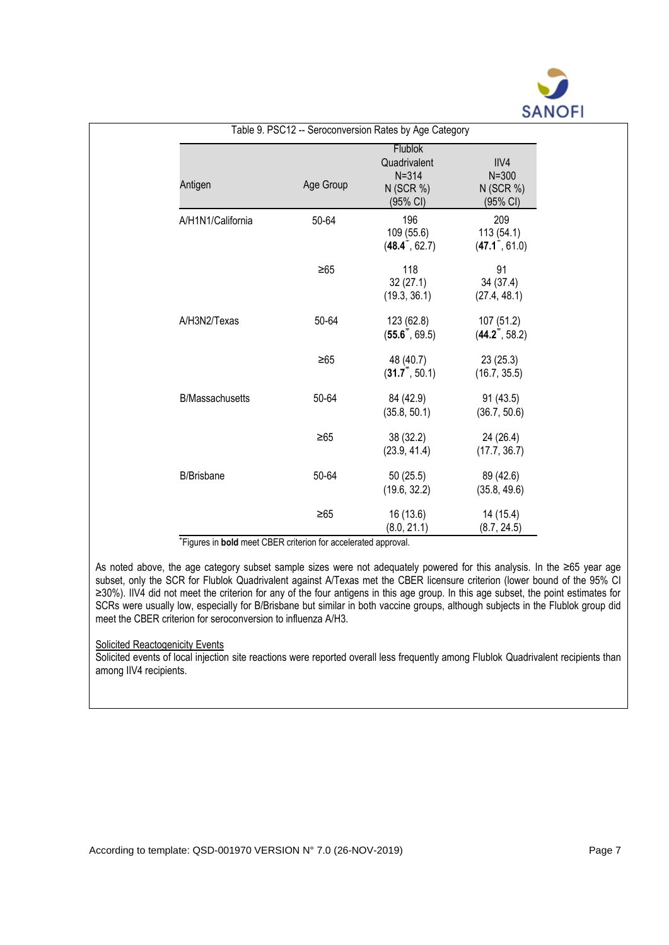

| Antigen                | Age Group | <b>Flublok</b><br>Quadrivalent<br>$N = 314$<br>$N$ (SCR %)<br>(95% CI) | IIV4<br>$N = 300$<br>$N$ (SCR %)<br>(95% CI)  |
|------------------------|-----------|------------------------------------------------------------------------|-----------------------------------------------|
| A/H1N1/California      | 50-64     | 196<br>109 (55.6)<br>$(48.4^{\degree}, 62.7)$                          | 209<br>113 (54.1)<br>$(47.1^{\degree}, 61.0)$ |
|                        | $\geq 65$ | 118<br>32(27.1)<br>(19.3, 36.1)                                        | 91<br>34 (37.4)<br>(27.4, 48.1)               |
| A/H3N2/Texas           | 50-64     | 123 (62.8)<br>$(55.6^{\circ}, 69.5)$                                   | 107 (51.2)<br>$(44.2^{\degree}, 58.2)$        |
|                        | $\geq 65$ | 48 (40.7)<br>$(31.7^*, 50.1)$                                          | 23(25.3)<br>(16.7, 35.5)                      |
| <b>B/Massachusetts</b> | 50-64     | 84 (42.9)<br>(35.8, 50.1)                                              | 91(43.5)<br>(36.7, 50.6)                      |
|                        | $\geq 65$ | 38 (32.2)<br>(23.9, 41.4)                                              | 24 (26.4)<br>(17.7, 36.7)                     |
| <b>B/Brisbane</b>      | 50-64     | 50(25.5)<br>(19.6, 32.2)                                               | 89 (42.6)<br>(35.8, 49.6)                     |
|                        | $\geq 65$ | 16 (13.6)<br>(8.0, 21.1)                                               | 14 (15.4)<br>(8.7, 24.5)                      |

\*Figures in **bold** meet CBER criterion for accelerated approval.

As noted above, the age category subset sample sizes were not adequately powered for this analysis. In the ≥65 year age subset, only the SCR for Flublok Quadrivalent against A/Texas met the CBER licensure criterion (lower bound of the 95% CI ≥30%). IIV4 did not meet the criterion for any of the four antigens in this age group. In this age subset, the point estimates for SCRs were usually low, especially for B/Brisbane but similar in both vaccine groups, although subjects in the Flublok group did meet the CBER criterion for seroconversion to influenza A/H3.

#### Solicited Reactogenicity Events

Solicited events of local injection site reactions were reported overall less frequently among Flublok Quadrivalent recipients than among IIV4 recipients.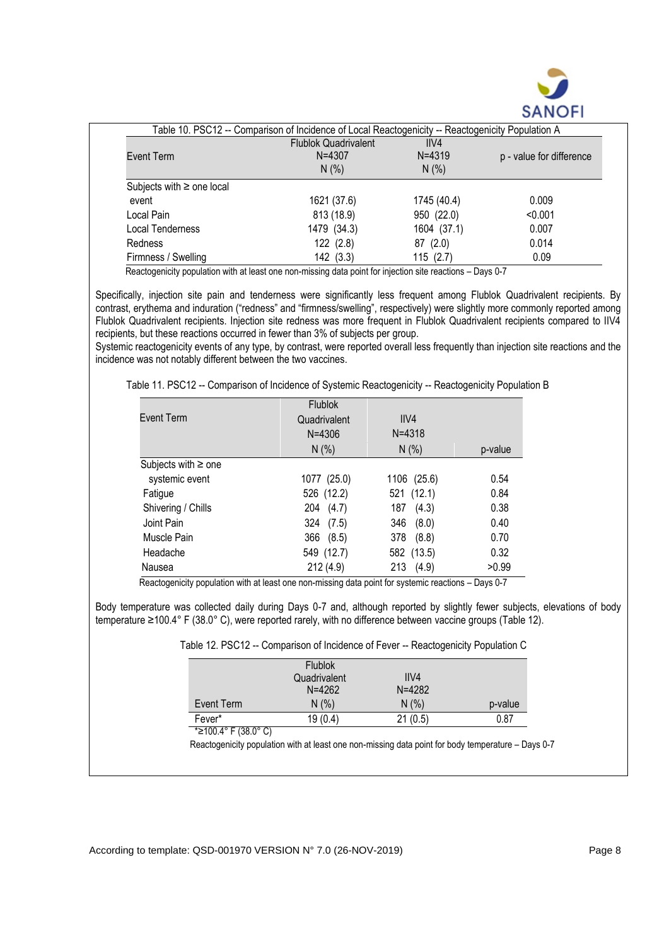

|                                | Table 10. PSC12 -- Comparison of Incidence of Local Reactogenicity -- Reactogenicity Population A |             |                          |
|--------------------------------|---------------------------------------------------------------------------------------------------|-------------|--------------------------|
|                                | <b>Flublok Quadrivalent</b>                                                                       | IIVA        |                          |
| Event Term                     | $N = 4307$                                                                                        | $N = 4319$  | p - value for difference |
|                                | $N$ (%)                                                                                           | $N$ (%)     |                          |
| Subjects with $\geq$ one local |                                                                                                   |             |                          |
| event                          | 1621 (37.6)                                                                                       | 1745 (40.4) | 0.009                    |
| Local Pain                     | 813 (18.9)                                                                                        | 950 (22.0)  | < 0.001                  |
| Local Tenderness               | 1479 (34.3)                                                                                       | 1604 (37.1) | 0.007                    |
| <b>Redness</b>                 | 122 (2.8)                                                                                         | 87(2.0)     | 0.014                    |
| Firmness / Swelling            | 142 (3.3)                                                                                         | 115(2.7)    | 0.09                     |

Reactogenicity population with at least one non-missing data point for injection site reactions - Days 0-7

Specifically, injection site pain and tenderness were significantly less frequent among Flublok Quadrivalent recipients. By contrast, erythema and induration ("redness" and "firmness/swelling", respectively) were slightly more commonly reported among Flublok Quadrivalent recipients. Injection site redness was more frequent in Flublok Quadrivalent recipients compared to IIV4 recipients, but these reactions occurred in fewer than 3% of subjects per group.

Systemic reactogenicity events of any type, by contrast, were reported overall less frequently than injection site reactions and the incidence was not notably different between the two vaccines.

| Table 11. PSC12 -- Comparison of Incidence of Systemic Reactogenicity -- Reactogenicity Population B |  |  |
|------------------------------------------------------------------------------------------------------|--|--|
|                                                                                                      |  |  |

|                          | <b>Flublok</b> |              |         |
|--------------------------|----------------|--------------|---------|
| Event Term               | Quadrivalent   | IIVA         |         |
|                          | $N = 4306$     | $N = 4318$   |         |
|                          | N(% )          | N(% )        | p-value |
| Subjects with $\geq$ one |                |              |         |
| systemic event           | 1077 (25.0)    | 1106 (25.6)  | 0.54    |
| Fatigue                  | 526 (12.2)     | 521 (12.1)   | 0.84    |
| Shivering / Chills       | 204 (4.7)      | 187<br>(4.3) | 0.38    |
| Joint Pain               | 324 (7.5)      | (8.0)<br>346 | 0.40    |
| Muscle Pain              | 366 (8.5)      | (8.8)<br>378 | 0.70    |
| Headache                 | 549 (12.7)     | 582 (13.5)   | 0.32    |
| Nausea                   | 212(4.9)       | 213<br>(4.9) | >0.99   |

Reactogenicity population with at least one non-missing data point for systemic reactions – Days 0-7

Body temperature was collected daily during Days 0-7 and, although reported by slightly fewer subjects, elevations of body temperature ≥100.4° F (38.0° C), were reported rarely, with no difference between vaccine groups (Table 12).

| Table 12. PSC12 -- Comparison of Incidence of Fever -- Reactogenicity Population C |  |
|------------------------------------------------------------------------------------|--|
|------------------------------------------------------------------------------------|--|

|            | Flublok<br>Quadrivalent | IIVA       |         |
|------------|-------------------------|------------|---------|
|            | $N = 4262$              | $N = 4282$ |         |
| Event Term | N(% )                   | N(% )      | p-value |
| Fever*     | 19(0.4)                 | 21(0.5)    | 0.87    |

<sup>\*≥100.4°</sup> F (38.0° C)

Reactogenicity population with at least one non-missing data point for body temperature – Days 0-7